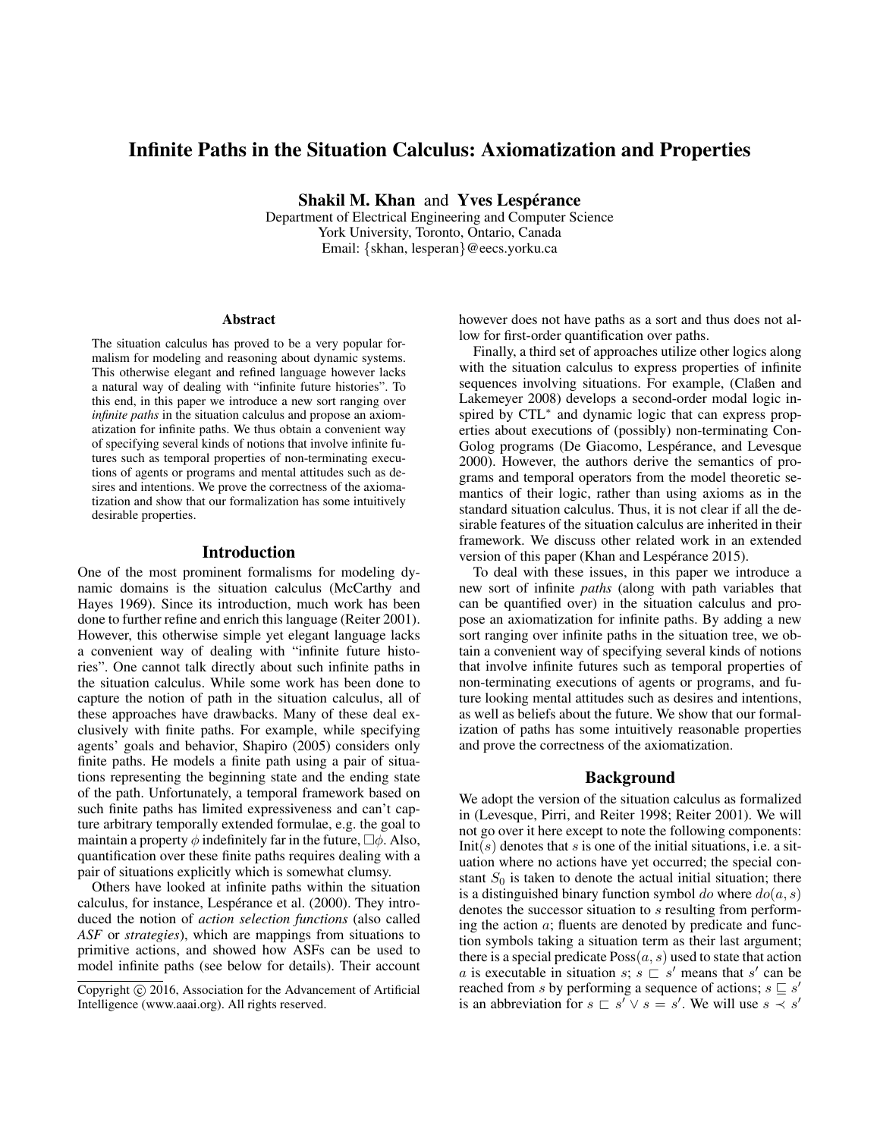# Infinite Paths in the Situation Calculus: Axiomatization and Properties

Shakil M. Khan and Yves Lespérance

Department of Electrical Engineering and Computer Science York University, Toronto, Ontario, Canada Email: {skhan, lesperan}@eecs.yorku.ca

#### Abstract

The situation calculus has proved to be a very popular formalism for modeling and reasoning about dynamic systems. This otherwise elegant and refined language however lacks a natural way of dealing with "infinite future histories". To this end, in this paper we introduce a new sort ranging over *infinite paths* in the situation calculus and propose an axiomatization for infinite paths. We thus obtain a convenient way of specifying several kinds of notions that involve infinite futures such as temporal properties of non-terminating executions of agents or programs and mental attitudes such as desires and intentions. We prove the correctness of the axiomatization and show that our formalization has some intuitively desirable properties.

# Introduction

One of the most prominent formalisms for modeling dynamic domains is the situation calculus (McCarthy and Hayes 1969). Since its introduction, much work has been done to further refine and enrich this language (Reiter 2001). However, this otherwise simple yet elegant language lacks a convenient way of dealing with "infinite future histories". One cannot talk directly about such infinite paths in the situation calculus. While some work has been done to capture the notion of path in the situation calculus, all of these approaches have drawbacks. Many of these deal exclusively with finite paths. For example, while specifying agents' goals and behavior, Shapiro (2005) considers only finite paths. He models a finite path using a pair of situations representing the beginning state and the ending state of the path. Unfortunately, a temporal framework based on such finite paths has limited expressiveness and can't capture arbitrary temporally extended formulae, e.g. the goal to maintain a property  $\phi$  indefinitely far in the future,  $\Box \phi$ . Also, quantification over these finite paths requires dealing with a pair of situations explicitly which is somewhat clumsy.

Others have looked at infinite paths within the situation calculus, for instance, Lespérance et al. (2000). They introduced the notion of *action selection functions* (also called *ASF* or *strategies*), which are mappings from situations to primitive actions, and showed how ASFs can be used to model infinite paths (see below for details). Their account

however does not have paths as a sort and thus does not allow for first-order quantification over paths.

Finally, a third set of approaches utilize other logics along with the situation calculus to express properties of infinite sequences involving situations. For example, (Claßen and Lakemeyer 2008) develops a second-order modal logic inspired by CTL<sup>∗</sup> and dynamic logic that can express properties about executions of (possibly) non-terminating Con-Golog programs (De Giacomo, Lespérance, and Levesque 2000). However, the authors derive the semantics of programs and temporal operators from the model theoretic semantics of their logic, rather than using axioms as in the standard situation calculus. Thus, it is not clear if all the desirable features of the situation calculus are inherited in their framework. We discuss other related work in an extended version of this paper (Khan and Lespérance 2015).

To deal with these issues, in this paper we introduce a new sort of infinite *paths* (along with path variables that can be quantified over) in the situation calculus and propose an axiomatization for infinite paths. By adding a new sort ranging over infinite paths in the situation tree, we obtain a convenient way of specifying several kinds of notions that involve infinite futures such as temporal properties of non-terminating executions of agents or programs, and future looking mental attitudes such as desires and intentions, as well as beliefs about the future. We show that our formalization of paths has some intuitively reasonable properties and prove the correctness of the axiomatization.

## Background

We adopt the version of the situation calculus as formalized in (Levesque, Pirri, and Reiter 1998; Reiter 2001). We will not go over it here except to note the following components:  $Init(s)$  denotes that s is one of the initial situations, i.e. a situation where no actions have yet occurred; the special constant  $S_0$  is taken to denote the actual initial situation; there is a distinguished binary function symbol do where  $do(a, s)$ denotes the successor situation to s resulting from performing the action  $a$ ; fluents are denoted by predicate and function symbols taking a situation term as their last argument; there is a special predicate  $Poss(a, s)$  used to state that action a is executable in situation s;  $s \subseteq s'$  means that s' can be reached from s by performing a sequence of actions;  $s \sqsubseteq s'$ is an abbreviation for  $s \sqsubset s' \vee s = s'$ . We will use  $s \prec s'$ 

Copyright (c) 2016, Association for the Advancement of Artificial Intelligence (www.aaai.org). All rights reserved.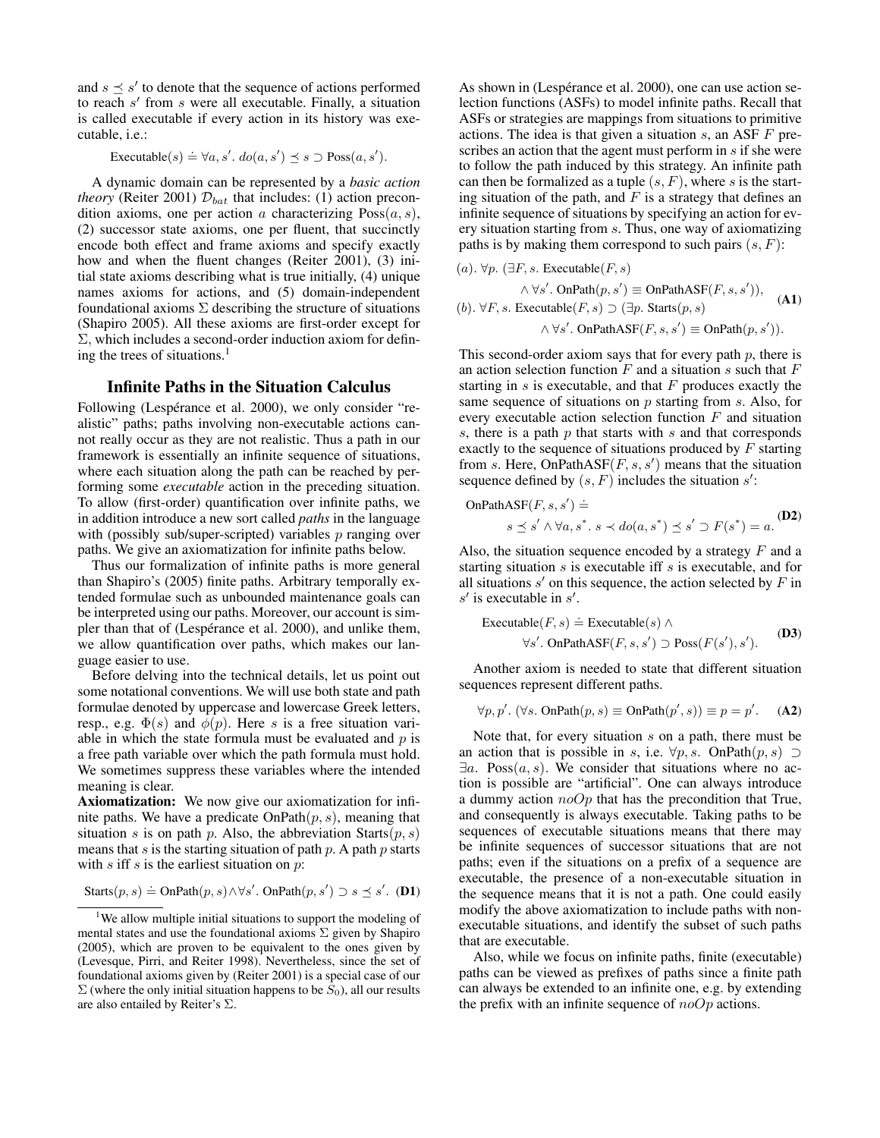and  $s \preceq s'$  to denote that the sequence of actions performed to reach  $s'$  from  $s$  were all executable. Finally, a situation is called executable if every action in its history was executable, i.e.:

Executable $(s) \doteq \forall a, s'. do(a, s') \leq s \supset \text{Poss}(a, s').$ 

A dynamic domain can be represented by a *basic action theory* (Reiter 2001)  $\mathcal{D}_{bat}$  that includes: (1) action precondition axioms, one per action a characterizing  $Poss(a, s)$ , (2) successor state axioms, one per fluent, that succinctly encode both effect and frame axioms and specify exactly how and when the fluent changes (Reiter 2001), (3) initial state axioms describing what is true initially, (4) unique names axioms for actions, and (5) domain-independent foundational axioms  $\Sigma$  describing the structure of situations (Shapiro 2005). All these axioms are first-order except for Σ, which includes a second-order induction axiom for defining the trees of situations.<sup>1</sup>

# Infinite Paths in the Situation Calculus

Following (Lespérance et al. 2000), we only consider "realistic" paths; paths involving non-executable actions cannot really occur as they are not realistic. Thus a path in our framework is essentially an infinite sequence of situations, where each situation along the path can be reached by performing some *executable* action in the preceding situation. To allow (first-order) quantification over infinite paths, we in addition introduce a new sort called *paths* in the language with (possibly sub/super-scripted) variables p ranging over paths. We give an axiomatization for infinite paths below.

Thus our formalization of infinite paths is more general than Shapiro's (2005) finite paths. Arbitrary temporally extended formulae such as unbounded maintenance goals can be interpreted using our paths. Moreover, our account is simpler than that of (Lespérance et al. 2000), and unlike them, we allow quantification over paths, which makes our language easier to use.

Before delving into the technical details, let us point out some notational conventions. We will use both state and path formulae denoted by uppercase and lowercase Greek letters, resp., e.g.  $\Phi(s)$  and  $\phi(p)$ . Here s is a free situation variable in which the state formula must be evaluated and  $p$  is a free path variable over which the path formula must hold. We sometimes suppress these variables where the intended meaning is clear.

Axiomatization: We now give our axiomatization for infinite paths. We have a predicate  $OnPath(p, s)$ , meaning that situation s is on path p. Also, the abbreviation Starts $(p, s)$ means that s is the starting situation of path  $p$ . A path  $p$  starts with  $s$  iff  $s$  is the earliest situation on  $p$ :

$$
S{\text{tarts}}(p, s) \doteq \text{OnPath}(p, s) \land \forall s'. \text{ OnPath}(p, s') \supset s \preceq s'. \text{ (D1)}
$$

As shown in (Lespérance et al. 2000), one can use action selection functions (ASFs) to model infinite paths. Recall that ASFs or strategies are mappings from situations to primitive actions. The idea is that given a situation  $s$ , an ASF  $F$  prescribes an action that the agent must perform in s if she were to follow the path induced by this strategy. An infinite path can then be formalized as a tuple  $(s, F)$ , where s is the starting situation of the path, and  $F$  is a strategy that defines an infinite sequence of situations by specifying an action for every situation starting from s. Thus, one way of axiomatizing paths is by making them correspond to such pairs  $(s, F)$ :

\n- (a). 
$$
\forall p. (\exists F, s. \text{ Executive}(F, s) \land \forall s'. \text{ OnPath}(p, s') \equiv \text{OnPathASF}(F, s, s')),
$$
\n- (b).  $\forall F, s. \text{Executeable}(F, s) \supset (\exists p. \text{Stats}(p, s) \land \forall s'. \text{ OnPathASF}(F, s, s') \equiv \text{OnPath}(p, s')).$
\n

This second-order axiom says that for every path  $p$ , there is an action selection function  $F$  and a situation  $s$  such that  $F$ starting in  $s$  is executable, and that  $F$  produces exactly the same sequence of situations on p starting from s. Also, for every executable action selection function  $F$  and situation s, there is a path  $p$  that starts with  $s$  and that corresponds exactly to the sequence of situations produced by  $F$  starting from s. Here, OnPathASF $(F, s, s')$  means that the situation sequence defined by  $(s, F)$  includes the situation s':

OnPathASF
$$
(F, s, s')
$$
  $\doteq$   
 $s \preceq s' \land \forall a, s^* \, s \prec do(a, s^*) \preceq s' \supset F(s^*) = a$ . (D2)

Also, the situation sequence encoded by a strategy  $F$  and a starting situation  $s$  is executable iff  $s$  is executable, and for all situations  $s'$  on this sequence, the action selected by  $F$  in  $s'$  is executable in  $s'$ .

$$
\begin{aligned} \text{Executeable}(F, s) &= \text{Executeable}(s) \land \\ \forall s'. \text{ OnPathASE}(F, s, s') \supset \text{Poss}(F(s'), s'). \end{aligned} \tag{D3}
$$

Another axiom is needed to state that different situation sequences represent different paths.

$$
\forall p, p'. \ (\forall s. \ \text{OnPath}(p, s) \equiv \text{OnPath}(p', s)) \equiv p = p'. \tag{A2}
$$

Note that, for every situation s on a path, there must be an action that is possible in s, i.e.  $\forall p, s$ . OnPath $(p, s) \supset$  $\exists a$ . Poss $(a, s)$ . We consider that situations where no action is possible are "artificial". One can always introduce a dummy action  $noOp$  that has the precondition that True, and consequently is always executable. Taking paths to be sequences of executable situations means that there may be infinite sequences of successor situations that are not paths; even if the situations on a prefix of a sequence are executable, the presence of a non-executable situation in the sequence means that it is not a path. One could easily modify the above axiomatization to include paths with nonexecutable situations, and identify the subset of such paths that are executable.

Also, while we focus on infinite paths, finite (executable) paths can be viewed as prefixes of paths since a finite path can always be extended to an infinite one, e.g. by extending the prefix with an infinite sequence of  $noOp$  actions.

<sup>&</sup>lt;sup>1</sup>We allow multiple initial situations to support the modeling of mental states and use the foundational axioms  $\Sigma$  given by Shapiro (2005), which are proven to be equivalent to the ones given by (Levesque, Pirri, and Reiter 1998). Nevertheless, since the set of foundational axioms given by (Reiter 2001) is a special case of our  $\Sigma$  (where the only initial situation happens to be  $S_0$ ), all our results are also entailed by Reiter's Σ.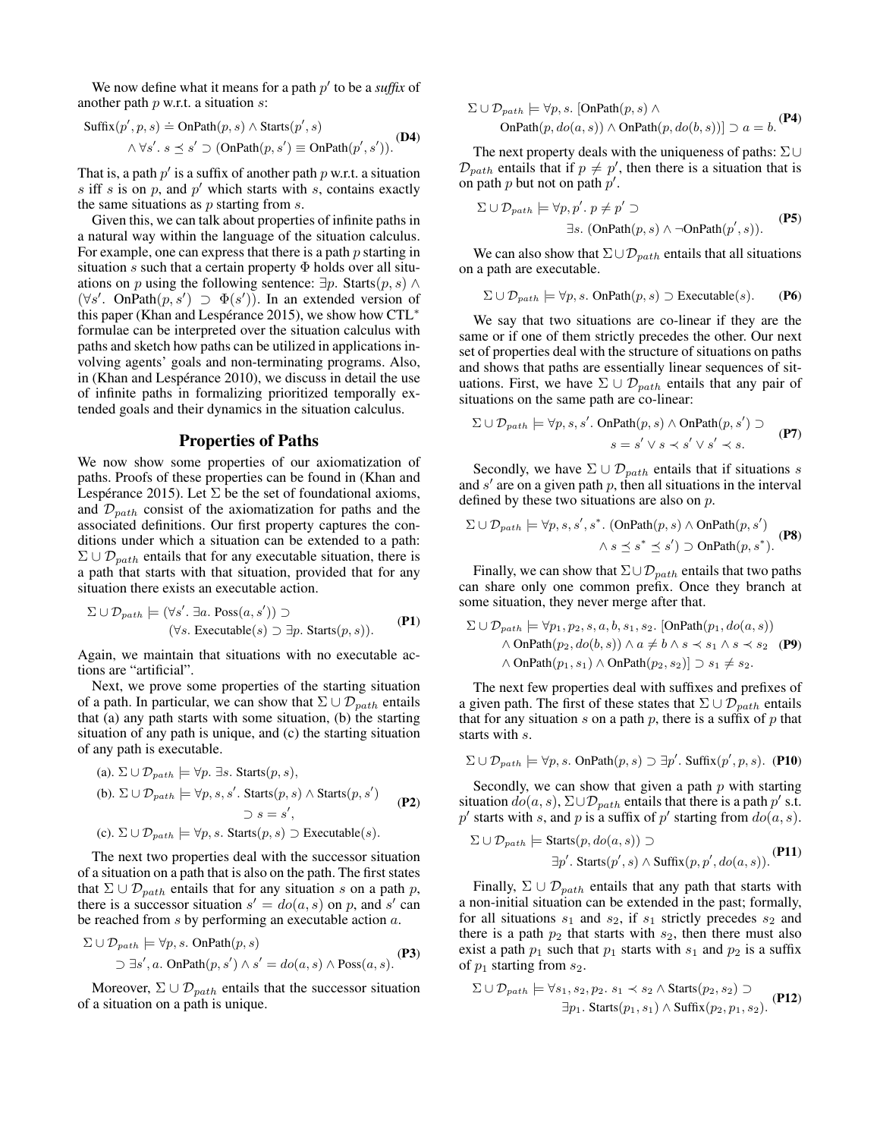We now define what it means for a path  $p'$  to be a *suffix* of another path  $p$  w.r.t. a situation  $s$ :

$$
Suffix(p', p, s) \doteq \text{OnPath}(p, s) \land \text{Starts}(p', s)
$$

$$
\land \forall s'. s \le s' \supset (\text{OnPath}(p, s') \equiv \text{OnPath}(p', s')).
$$
**(D4)**

That is, a path  $p'$  is a suffix of another path  $p$  w.r.t. a situation  $s$  iff  $s$  is on  $p$ , and  $p'$  which starts with  $s$ , contains exactly the same situations as  $p$  starting from  $s$ .

Given this, we can talk about properties of infinite paths in a natural way within the language of the situation calculus. For example, one can express that there is a path  $p$  starting in situation s such that a certain property  $\Phi$  holds over all situations on p using the following sentence:  $\exists p$ . Starts $(p, s) \land$  $(\forall s'. \text{ OnPath}(p, s') \supset \Phi(s'))$ . In an extended version of this paper (Khan and Lespérance 2015), we show how CTL<sup>\*</sup> formulae can be interpreted over the situation calculus with paths and sketch how paths can be utilized in applications involving agents' goals and non-terminating programs. Also, in (Khan and Lespérance 2010), we discuss in detail the use of infinite paths in formalizing prioritized temporally extended goals and their dynamics in the situation calculus.

## Properties of Paths

We now show some properties of our axiomatization of paths. Proofs of these properties can be found in (Khan and Lespérance 2015). Let  $\Sigma$  be the set of foundational axioms, and  $\mathcal{D}_{path}$  consist of the axiomatization for paths and the associated definitions. Our first property captures the conditions under which a situation can be extended to a path:  $\Sigma \cup \mathcal{D}_{path}$  entails that for any executable situation, there is a path that starts with that situation, provided that for any situation there exists an executable action.

$$
\Sigma \cup \mathcal{D}_{path} \models (\forall s'. \exists a. \text{Poss}(a, s')) \supset
$$
  

$$
(\forall s. \text{Executeable}(s) \supset \exists p. \text{Starts}(p, s)).
$$
 (P1)

Again, we maintain that situations with no executable actions are "artificial".

Next, we prove some properties of the starting situation of a path. In particular, we can show that  $\Sigma \cup \mathcal{D}_{path}$  entails that (a) any path starts with some situation, (b) the starting situation of any path is unique, and (c) the starting situation of any path is executable.

\n- (a). 
$$
\Sigma \cup \mathcal{D}_{path} \models \forall p. \exists s.
$$
  $\text{Starts}(p, s),$
\n- (b).  $\Sigma \cup \mathcal{D}_{path} \models \forall p, s, s'.$   $\text{Starts}(p, s) \land \text{Starts}(p, s')$
\n- $\supset s = s',$
\n- (c).  $\Sigma \cup \mathcal{D}_{path} \models \forall p, s.$   $\text{Starts}(p, s) \supset \text{Executeble}(s).$
\n

The next two properties deal with the successor situation of a situation on a path that is also on the path. The first states that  $\Sigma \cup \mathcal{D}_{path}$  entails that for any situation s on a path p, there is a successor situation  $s' = do(a, s)$  on p, and s' can be reached from s by performing an executable action a.

$$
\Sigma \cup \mathcal{D}_{path} \models \forall p, s. \text{ OnPath}(p, s)
$$
  

$$
\supset \exists s', a. \text{ OnPath}(p, s') \land s' = do(a, s) \land \text{Poss}(a, s).
$$
 (P3)

Moreover,  $\Sigma \cup \mathcal{D}_{path}$  entails that the successor situation of a situation on a path is unique.

$$
\Sigma \cup \mathcal{D}_{path} \models \forall p, s. \text{ [OnPath}(p, s) \land \text{OnPath}(p, do(a, s)) \land \text{OnPath}(p, do(b, s))] \supset a = b. \text{ (P4)}
$$

The next property deals with the uniqueness of paths:  $\Sigma \cup$  $\mathcal{D}_{path}$  entails that if  $p \neq p'$ , then there is a situation that is on path  $p$  but not on path  $p'$ .

$$
\Sigma \cup \mathcal{D}_{path} \models \forall p, p', p \neq p' \supset
$$
  

$$
\exists s. \text{ (OnPath}(p, s) \land \neg \text{OnPath}(p', s)).
$$
 (P5)

We can also show that  $\Sigma \cup \mathcal{D}_{path}$  entails that all situations on a path are executable.

$$
\Sigma \cup \mathcal{D}_{path} \models \forall p, s. \text{ OnPath}(p, s) \supset \text{Executeable}(s). \qquad \textbf{(P6)}
$$

We say that two situations are co-linear if they are the same or if one of them strictly precedes the other. Our next set of properties deal with the structure of situations on paths and shows that paths are essentially linear sequences of situations. First, we have  $\Sigma \cup \mathcal{D}_{path}$  entails that any pair of situations on the same path are co-linear:

$$
\Sigma \cup \mathcal{D}_{path} \models \forall p, s, s'. \text{ OnPath}(p, s) \land \text{OnPath}(p, s') \supsets = s' \lor s \prec s' \lor s' \prec s.
$$
 (P7)

Secondly, we have  $\Sigma \cup \mathcal{D}_{path}$  entails that if situations s and  $s'$  are on a given path  $p$ , then all situations in the interval defined by these two situations are also on p.

$$
\Sigma \cup \mathcal{D}_{path} \models \forall p, s, s', s^*. \text{ (OnPath}(p, s) \land \text{OnPath}(p, s')) \land s \leq s^* \leq s') \supset \text{OnPath}(p, s^*).
$$
 (P8)

Finally, we can show that  $\Sigma \cup \mathcal{D}_{path}$  entails that two paths can share only one common prefix. Once they branch at some situation, they never merge after that.

$$
\Sigma \cup \mathcal{D}_{path} \models \forall p_1, p_2, s, a, b, s_1, s_2. \text{[OnPath}(p_1, do(a, s))
$$
  
 
$$
\wedge \text{OnPath}(p_2, do(b, s)) \wedge a \neq b \wedge s \prec s_1 \wedge s \prec s_2 \text{ (P9)}
$$
  
 
$$
\wedge \text{OnPath}(p_1, s_1) \wedge \text{OnPath}(p_2, s_2)] \supset s_1 \neq s_2.
$$

The next few properties deal with suffixes and prefixes of a given path. The first of these states that  $\Sigma \cup \mathcal{D}_{path}$  entails that for any situation  $s$  on a path  $p$ , there is a suffix of  $p$  that starts with s.

$$
\Sigma \cup \mathcal{D}_{path} \models \forall p, s. \text{ OnPath}(p, s) \supset \exists p'. \text{ Suffix}(p', p, s). \text{ (P10)}
$$

Secondly, we can show that given a path  $p$  with starting situation  $do(a, s)$ ,  $\Sigma \cup \mathcal{D}_{path}$  entails that there is a path  $p'$  s.t. p' starts with s, and p is a suffix of p' starting from  $do(a, s)$ .

$$
\Sigma \cup \mathcal{D}_{path} \models \text{Starts}(p, do(a, s)) \supset
$$
  

$$
\exists p'.\ \text{Starts}(p', s) \land \text{Suffix}(p, p', do(a, s)).
$$
 (P11)

Finally,  $\Sigma \cup \mathcal{D}_{path}$  entails that any path that starts with a non-initial situation can be extended in the past; formally, for all situations  $s_1$  and  $s_2$ , if  $s_1$  strictly precedes  $s_2$  and there is a path  $p_2$  that starts with  $s_2$ , then there must also exist a path  $p_1$  such that  $p_1$  starts with  $s_1$  and  $p_2$  is a suffix of  $p_1$  starting from  $s_2$ .

$$
\Sigma \cup \mathcal{D}_{path} \models \forall s_1, s_2, p_2. s_1 \prec s_2 \land \text{Starts}(p_2, s_2) \supset
$$
  

$$
\exists p_1. \text{Starts}(p_1, s_1) \land \text{Suffix}(p_2, p_1, s_2).
$$
 (P12)